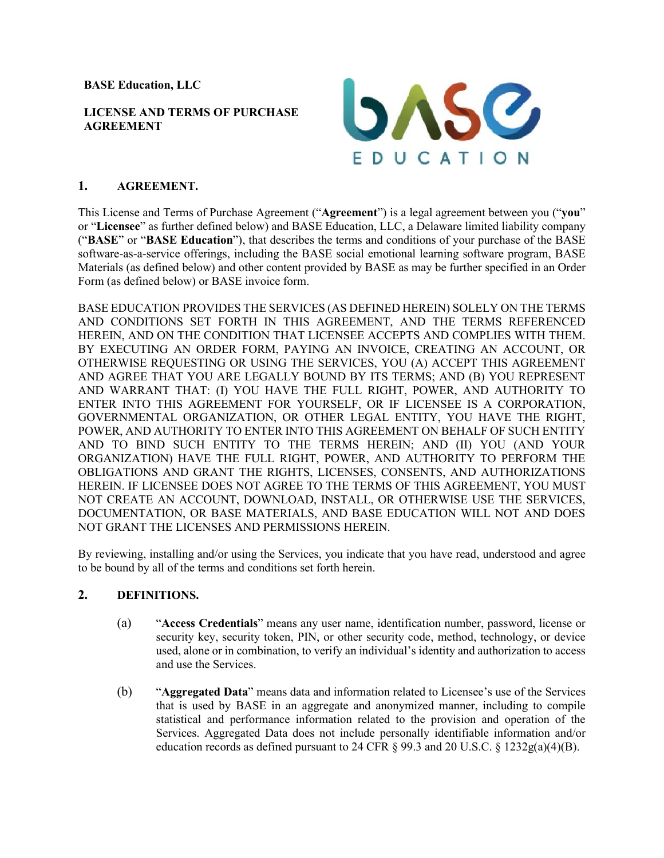**BASE Education, LLC** 

#### **LICENSE AND TERMS OF PURCHASE AGREEMENT**



### **1. AGREEMENT.**

This License and Terms of Purchase Agreement ("**Agreement**") is a legal agreement between you ("**you**" or "**Licensee**" as further defined below) and BASE Education, LLC, a Delaware limited liability company ("**BASE**" or "**BASE Education**"), that describes the terms and conditions of your purchase of the BASE software-as-a-service offerings, including the BASE social emotional learning software program, BASE Materials (as defined below) and other content provided by BASE as may be further specified in an Order Form (as defined below) or BASE invoice form.

BASE EDUCATION PROVIDES THE SERVICES (AS DEFINED HEREIN) SOLELY ON THE TERMS AND CONDITIONS SET FORTH IN THIS AGREEMENT, AND THE TERMS REFERENCED HEREIN, AND ON THE CONDITION THAT LICENSEE ACCEPTS AND COMPLIES WITH THEM. BY EXECUTING AN ORDER FORM, PAYING AN INVOICE, CREATING AN ACCOUNT, OR OTHERWISE REQUESTING OR USING THE SERVICES, YOU (A) ACCEPT THIS AGREEMENT AND AGREE THAT YOU ARE LEGALLY BOUND BY ITS TERMS; AND (B) YOU REPRESENT AND WARRANT THAT: (I) YOU HAVE THE FULL RIGHT, POWER, AND AUTHORITY TO ENTER INTO THIS AGREEMENT FOR YOURSELF, OR IF LICENSEE IS A CORPORATION, GOVERNMENTAL ORGANIZATION, OR OTHER LEGAL ENTITY, YOU HAVE THE RIGHT, POWER, AND AUTHORITY TO ENTER INTO THIS AGREEMENT ON BEHALF OF SUCH ENTITY AND TO BIND SUCH ENTITY TO THE TERMS HEREIN; AND (II) YOU (AND YOUR ORGANIZATION) HAVE THE FULL RIGHT, POWER, AND AUTHORITY TO PERFORM THE OBLIGATIONS AND GRANT THE RIGHTS, LICENSES, CONSENTS, AND AUTHORIZATIONS HEREIN. IF LICENSEE DOES NOT AGREE TO THE TERMS OF THIS AGREEMENT, YOU MUST NOT CREATE AN ACCOUNT, DOWNLOAD, INSTALL, OR OTHERWISE USE THE SERVICES, DOCUMENTATION, OR BASE MATERIALS, AND BASE EDUCATION WILL NOT AND DOES NOT GRANT THE LICENSES AND PERMISSIONS HEREIN.

By reviewing, installing and/or using the Services, you indicate that you have read, understood and agree to be bound by all of the terms and conditions set forth herein.

# **2. DEFINITIONS.**

- (a) "**Access Credentials**" means any user name, identification number, password, license or security key, security token, PIN, or other security code, method, technology, or device used, alone or in combination, to verify an individual's identity and authorization to access and use the Services.
- (b) "**Aggregated Data**" means data and information related to Licensee's use of the Services that is used by BASE in an aggregate and anonymized manner, including to compile statistical and performance information related to the provision and operation of the Services. Aggregated Data does not include personally identifiable information and/or education records as defined pursuant to 24 CFR  $\S$  99.3 and 20 U.S.C.  $\S$  1232g(a)(4)(B).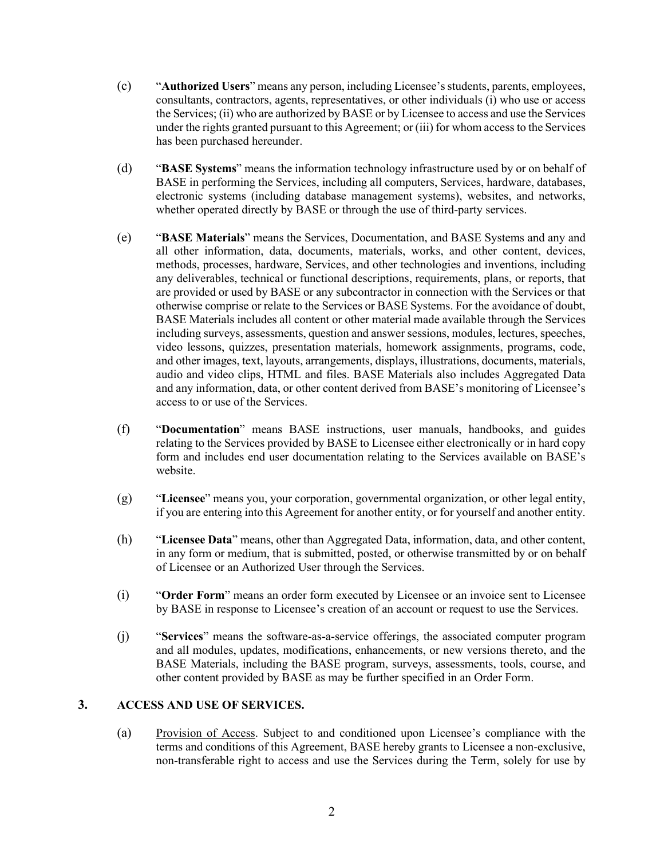- (c) "**Authorized Users**" means any person, including Licensee'sstudents, parents, employees, consultants, contractors, agents, representatives, or other individuals (i) who use or access the Services; (ii) who are authorized by BASE or by Licensee to access and use the Services under the rights granted pursuant to this Agreement; or (iii) for whom access to the Services has been purchased hereunder.
- (d) "**BASE Systems**" means the information technology infrastructure used by or on behalf of BASE in performing the Services, including all computers, Services, hardware, databases, electronic systems (including database management systems), websites, and networks, whether operated directly by BASE or through the use of third-party services.
- (e) "**BASE Materials**" means the Services, Documentation, and BASE Systems and any and all other information, data, documents, materials, works, and other content, devices, methods, processes, hardware, Services, and other technologies and inventions, including any deliverables, technical or functional descriptions, requirements, plans, or reports, that are provided or used by BASE or any subcontractor in connection with the Services or that otherwise comprise or relate to the Services or BASE Systems. For the avoidance of doubt, BASE Materials includes all content or other material made available through the Services including surveys, assessments, question and answer sessions, modules, lectures, speeches, video lessons, quizzes, presentation materials, homework assignments, programs, code, and other images, text, layouts, arrangements, displays, illustrations, documents, materials, audio and video clips, HTML and files. BASE Materials also includes Aggregated Data and any information, data, or other content derived from BASE's monitoring of Licensee's access to or use of the Services.
- (f) "**Documentation**" means BASE instructions, user manuals, handbooks, and guides relating to the Services provided by BASE to Licensee either electronically or in hard copy form and includes end user documentation relating to the Services available on BASE's website.
- (g) "**Licensee**" means you, your corporation, governmental organization, or other legal entity, if you are entering into this Agreement for another entity, or for yourself and another entity.
- (h) "**Licensee Data**" means, other than Aggregated Data, information, data, and other content, in any form or medium, that is submitted, posted, or otherwise transmitted by or on behalf of Licensee or an Authorized User through the Services.
- (i) "**Order Form**" means an order form executed by Licensee or an invoice sent to Licensee by BASE in response to Licensee's creation of an account or request to use the Services.
- (j) "**Services**" means the software-as-a-service offerings, the associated computer program and all modules, updates, modifications, enhancements, or new versions thereto, and the BASE Materials, including the BASE program, surveys, assessments, tools, course, and other content provided by BASE as may be further specified in an Order Form.

#### **3. ACCESS AND USE OF SERVICES.**

(a) Provision of Access. Subject to and conditioned upon Licensee's compliance with the terms and conditions of this Agreement, BASE hereby grants to Licensee a non-exclusive, non-transferable right to access and use the Services during the Term, solely for use by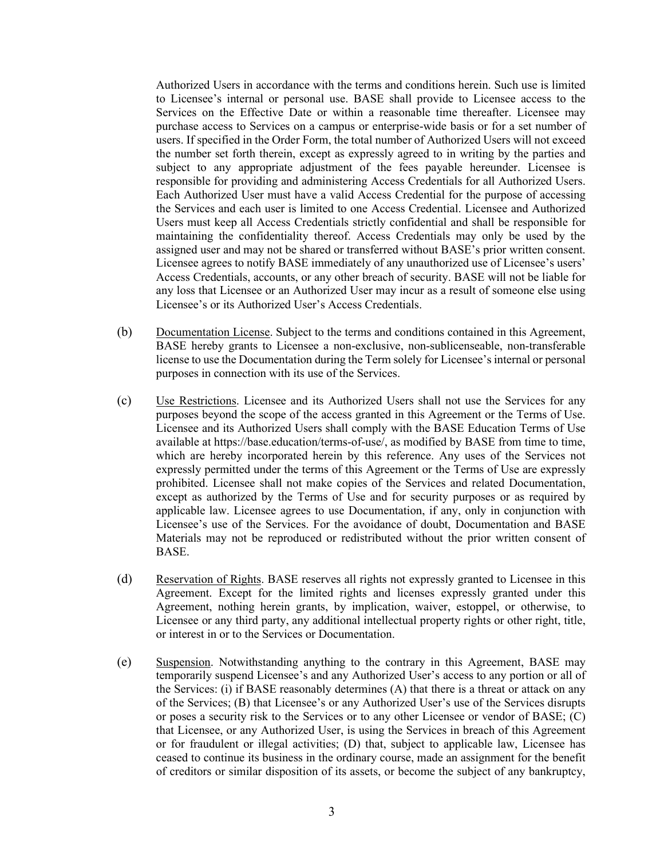Authorized Users in accordance with the terms and conditions herein. Such use is limited to Licensee's internal or personal use. BASE shall provide to Licensee access to the Services on the Effective Date or within a reasonable time thereafter. Licensee may purchase access to Services on a campus or enterprise-wide basis or for a set number of users. If specified in the Order Form, the total number of Authorized Users will not exceed the number set forth therein, except as expressly agreed to in writing by the parties and subject to any appropriate adjustment of the fees payable hereunder. Licensee is responsible for providing and administering Access Credentials for all Authorized Users. Each Authorized User must have a valid Access Credential for the purpose of accessing the Services and each user is limited to one Access Credential. Licensee and Authorized Users must keep all Access Credentials strictly confidential and shall be responsible for maintaining the confidentiality thereof. Access Credentials may only be used by the assigned user and may not be shared or transferred without BASE's prior written consent. Licensee agrees to notify BASE immediately of any unauthorized use of Licensee's users' Access Credentials, accounts, or any other breach of security. BASE will not be liable for any loss that Licensee or an Authorized User may incur as a result of someone else using Licensee's or its Authorized User's Access Credentials.

- (b) Documentation License. Subject to the terms and conditions contained in this Agreement, BASE hereby grants to Licensee a non-exclusive, non-sublicenseable, non-transferable license to use the Documentation during the Term solely for Licensee's internal or personal purposes in connection with its use of the Services.
- (c) Use Restrictions. Licensee and its Authorized Users shall not use the Services for any purposes beyond the scope of the access granted in this Agreement or the Terms of Use. Licensee and its Authorized Users shall comply with the BASE Education Terms of Use available at https://base.education/terms-of-use/, as modified by BASE from time to time, which are hereby incorporated herein by this reference. Any uses of the Services not expressly permitted under the terms of this Agreement or the Terms of Use are expressly prohibited. Licensee shall not make copies of the Services and related Documentation, except as authorized by the Terms of Use and for security purposes or as required by applicable law. Licensee agrees to use Documentation, if any, only in conjunction with Licensee's use of the Services. For the avoidance of doubt, Documentation and BASE Materials may not be reproduced or redistributed without the prior written consent of BASE.
- (d) Reservation of Rights. BASE reserves all rights not expressly granted to Licensee in this Agreement. Except for the limited rights and licenses expressly granted under this Agreement, nothing herein grants, by implication, waiver, estoppel, or otherwise, to Licensee or any third party, any additional intellectual property rights or other right, title, or interest in or to the Services or Documentation.
- (e) Suspension. Notwithstanding anything to the contrary in this Agreement, BASE may temporarily suspend Licensee's and any Authorized User's access to any portion or all of the Services: (i) if BASE reasonably determines  $(A)$  that there is a threat or attack on any of the Services; (B) that Licensee's or any Authorized User's use of the Services disrupts or poses a security risk to the Services or to any other Licensee or vendor of BASE; (C) that Licensee, or any Authorized User, is using the Services in breach of this Agreement or for fraudulent or illegal activities; (D) that, subject to applicable law, Licensee has ceased to continue its business in the ordinary course, made an assignment for the benefit of creditors or similar disposition of its assets, or become the subject of any bankruptcy,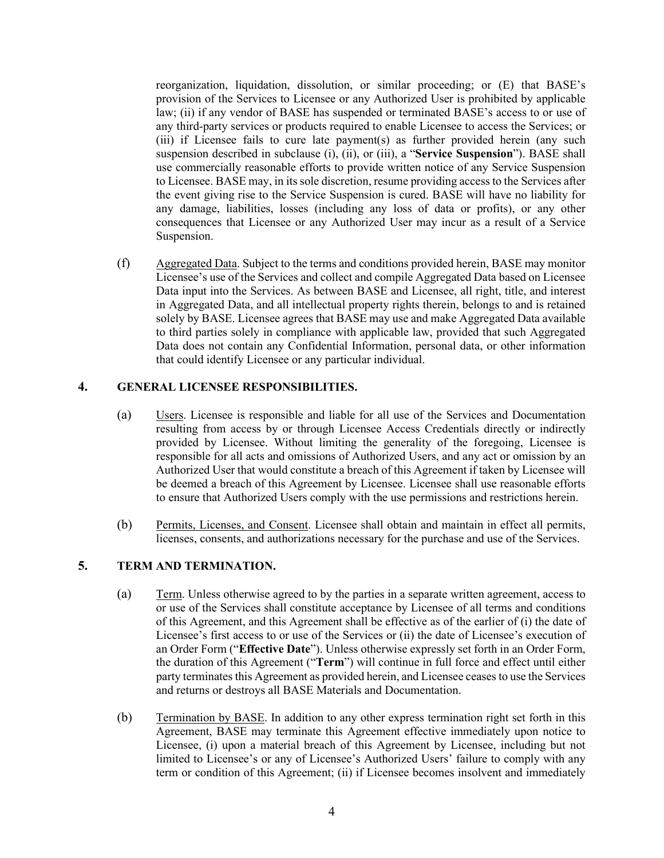reorganization, liquidation, dissolution, or similar proceeding; or (E) that BASE's provision of the Services to Licensee or any Authorized User is prohibited by applicable law; (ii) if any vendor of BASE has suspended or terminated BASE's access to or use of any third-party services or products required to enable Licensee to access the Services; or (iii) if Licensee fails to cure late payment(s) as further provided herein (any such suspension described in subclause (i), (ii), or (iii), a "**Service Suspension**"). BASE shall use commercially reasonable efforts to provide written notice of any Service Suspension to Licensee. BASE may, in its sole discretion, resume providing access to the Services after the event giving rise to the Service Suspension is cured. BASE will have no liability for any damage, liabilities, losses (including any loss of data or profits), or any other consequences that Licensee or any Authorized User may incur as a result of a Service Suspension.

(f) Aggregated Data. Subject to the terms and conditions provided herein, BASE may monitor Licensee's use of the Services and collect and compile Aggregated Data based on Licensee Data input into the Services. As between BASE and Licensee, all right, title, and interest in Aggregated Data, and all intellectual property rights therein, belongs to and is retained solely by BASE. Licensee agrees that BASE may use and make Aggregated Data available to third parties solely in compliance with applicable law, provided that such Aggregated Data does not contain any Confidential Information, personal data, or other information that could identify Licensee or any particular individual.

### **4. GENERAL LICENSEE RESPONSIBILITIES.**

- (a) Users. Licensee is responsible and liable for all use of the Services and Documentation resulting from access by or through Licensee Access Credentials directly or indirectly provided by Licensee. Without limiting the generality of the foregoing, Licensee is responsible for all acts and omissions of Authorized Users, and any act or omission by an Authorized User that would constitute a breach of this Agreement if taken by Licensee will be deemed a breach of this Agreement by Licensee. Licensee shall use reasonable efforts to ensure that Authorized Users comply with the use permissions and restrictions herein.
- (b) Permits, Licenses, and Consent. Licensee shall obtain and maintain in effect all permits, licenses, consents, and authorizations necessary for the purchase and use of the Services.

## **5. TERM AND TERMINATION.**

- (a) Term. Unless otherwise agreed to by the parties in a separate written agreement, access to or use of the Services shall constitute acceptance by Licensee of all terms and conditions of this Agreement, and this Agreement shall be effective as of the earlier of (i) the date of Licensee's first access to or use of the Services or (ii) the date of Licensee's execution of an Order Form ("**Effective Date**"). Unless otherwise expressly set forth in an Order Form, the duration of this Agreement ("**Term**") will continue in full force and effect until either party terminates this Agreement as provided herein, and Licensee ceases to use the Services and returns or destroys all BASE Materials and Documentation.
- (b) Termination by BASE. In addition to any other express termination right set forth in this Agreement, BASE may terminate this Agreement effective immediately upon notice to Licensee, (i) upon a material breach of this Agreement by Licensee, including but not limited to Licensee's or any of Licensee's Authorized Users' failure to comply with any term or condition of this Agreement; (ii) if Licensee becomes insolvent and immediately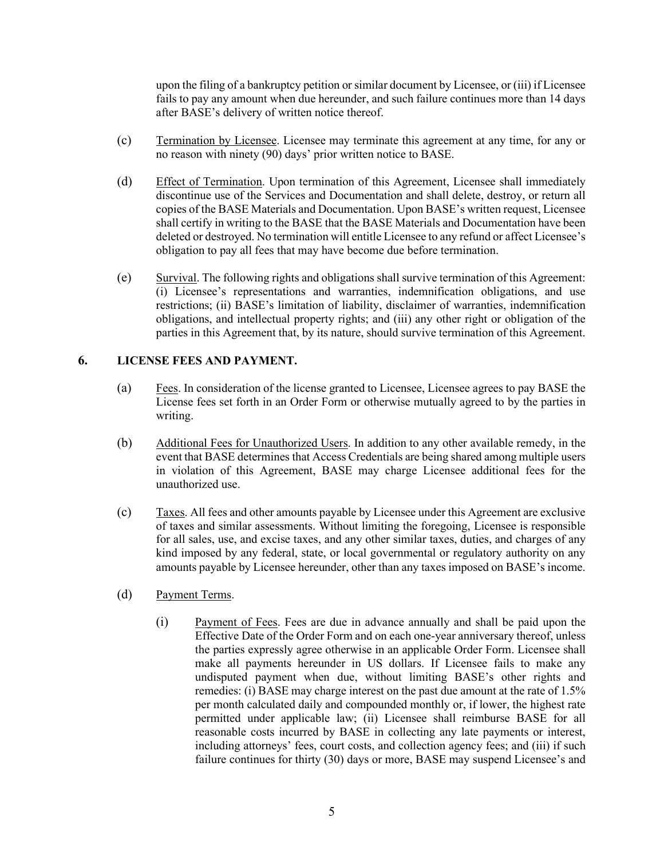upon the filing of a bankruptcy petition or similar document by Licensee, or (iii) if Licensee fails to pay any amount when due hereunder, and such failure continues more than 14 days after BASE's delivery of written notice thereof.

- (c) Termination by Licensee. Licensee may terminate this agreement at any time, for any or no reason with ninety (90) days' prior written notice to BASE.
- (d) Effect of Termination. Upon termination of this Agreement, Licensee shall immediately discontinue use of the Services and Documentation and shall delete, destroy, or return all copies of the BASE Materials and Documentation. Upon BASE's written request, Licensee shall certify in writing to the BASE that the BASE Materials and Documentation have been deleted or destroyed. No termination will entitle Licensee to any refund or affect Licensee's obligation to pay all fees that may have become due before termination.
- (e) Survival. The following rights and obligations shall survive termination of this Agreement: (i) Licensee's representations and warranties, indemnification obligations, and use restrictions; (ii) BASE's limitation of liability, disclaimer of warranties, indemnification obligations, and intellectual property rights; and (iii) any other right or obligation of the parties in this Agreement that, by its nature, should survive termination of this Agreement.

# **6. LICENSE FEES AND PAYMENT.**

- (a) Fees. In consideration of the license granted to Licensee, Licensee agrees to pay BASE the License fees set forth in an Order Form or otherwise mutually agreed to by the parties in writing.
- (b) Additional Fees for Unauthorized Users. In addition to any other available remedy, in the event that BASE determines that Access Credentials are being shared among multiple users in violation of this Agreement, BASE may charge Licensee additional fees for the unauthorized use.
- (c) Taxes. All fees and other amounts payable by Licensee under this Agreement are exclusive of taxes and similar assessments. Without limiting the foregoing, Licensee is responsible for all sales, use, and excise taxes, and any other similar taxes, duties, and charges of any kind imposed by any federal, state, or local governmental or regulatory authority on any amounts payable by Licensee hereunder, other than any taxes imposed on BASE's income.
- (d) Payment Terms.
	- (i) Payment of Fees. Fees are due in advance annually and shall be paid upon the Effective Date of the Order Form and on each one-year anniversary thereof, unless the parties expressly agree otherwise in an applicable Order Form. Licensee shall make all payments hereunder in US dollars. If Licensee fails to make any undisputed payment when due, without limiting BASE's other rights and remedies: (i) BASE may charge interest on the past due amount at the rate of 1.5% per month calculated daily and compounded monthly or, if lower, the highest rate permitted under applicable law; (ii) Licensee shall reimburse BASE for all reasonable costs incurred by BASE in collecting any late payments or interest, including attorneys' fees, court costs, and collection agency fees; and (iii) if such failure continues for thirty (30) days or more, BASE may suspend Licensee's and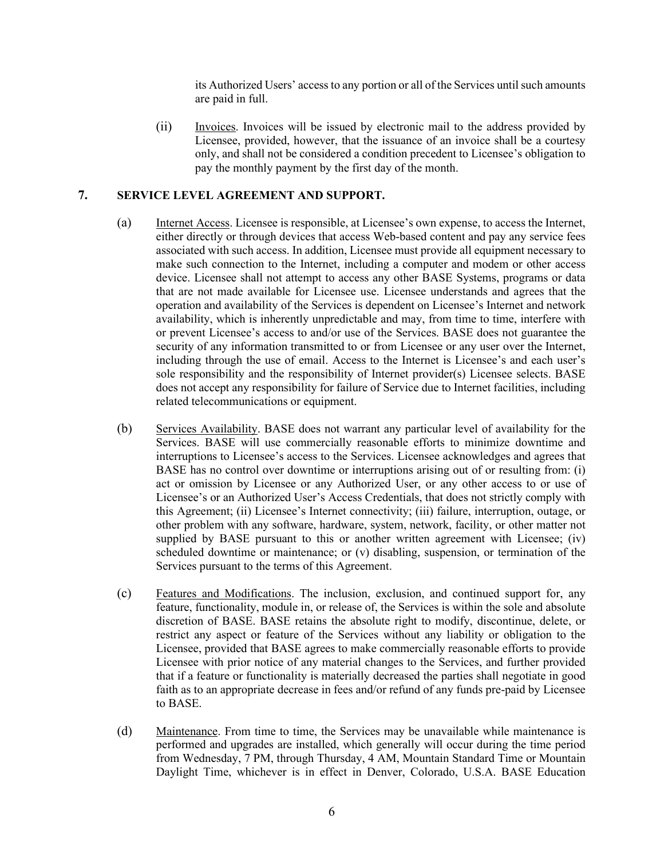its Authorized Users' access to any portion or all of the Services until such amounts are paid in full.

(ii) Invoices. Invoices will be issued by electronic mail to the address provided by Licensee, provided, however, that the issuance of an invoice shall be a courtesy only, and shall not be considered a condition precedent to Licensee's obligation to pay the monthly payment by the first day of the month.

### **7. SERVICE LEVEL AGREEMENT AND SUPPORT.**

- (a) Internet Access. Licensee is responsible, at Licensee's own expense, to access the Internet, either directly or through devices that access Web-based content and pay any service fees associated with such access. In addition, Licensee must provide all equipment necessary to make such connection to the Internet, including a computer and modem or other access device. Licensee shall not attempt to access any other BASE Systems, programs or data that are not made available for Licensee use. Licensee understands and agrees that the operation and availability of the Services is dependent on Licensee's Internet and network availability, which is inherently unpredictable and may, from time to time, interfere with or prevent Licensee's access to and/or use of the Services. BASE does not guarantee the security of any information transmitted to or from Licensee or any user over the Internet, including through the use of email. Access to the Internet is Licensee's and each user's sole responsibility and the responsibility of Internet provider(s) Licensee selects. BASE does not accept any responsibility for failure of Service due to Internet facilities, including related telecommunications or equipment.
- (b) Services Availability. BASE does not warrant any particular level of availability for the Services. BASE will use commercially reasonable efforts to minimize downtime and interruptions to Licensee's access to the Services. Licensee acknowledges and agrees that BASE has no control over downtime or interruptions arising out of or resulting from: (i) act or omission by Licensee or any Authorized User, or any other access to or use of Licensee's or an Authorized User's Access Credentials, that does not strictly comply with this Agreement; (ii) Licensee's Internet connectivity; (iii) failure, interruption, outage, or other problem with any software, hardware, system, network, facility, or other matter not supplied by BASE pursuant to this or another written agreement with Licensee; (iv) scheduled downtime or maintenance; or (v) disabling, suspension, or termination of the Services pursuant to the terms of this Agreement.
- (c) Features and Modifications. The inclusion, exclusion, and continued support for, any feature, functionality, module in, or release of, the Services is within the sole and absolute discretion of BASE. BASE retains the absolute right to modify, discontinue, delete, or restrict any aspect or feature of the Services without any liability or obligation to the Licensee, provided that BASE agrees to make commercially reasonable efforts to provide Licensee with prior notice of any material changes to the Services, and further provided that if a feature or functionality is materially decreased the parties shall negotiate in good faith as to an appropriate decrease in fees and/or refund of any funds pre-paid by Licensee to BASE.
- (d) Maintenance. From time to time, the Services may be unavailable while maintenance is performed and upgrades are installed, which generally will occur during the time period from Wednesday, 7 PM, through Thursday, 4 AM, Mountain Standard Time or Mountain Daylight Time, whichever is in effect in Denver, Colorado, U.S.A. BASE Education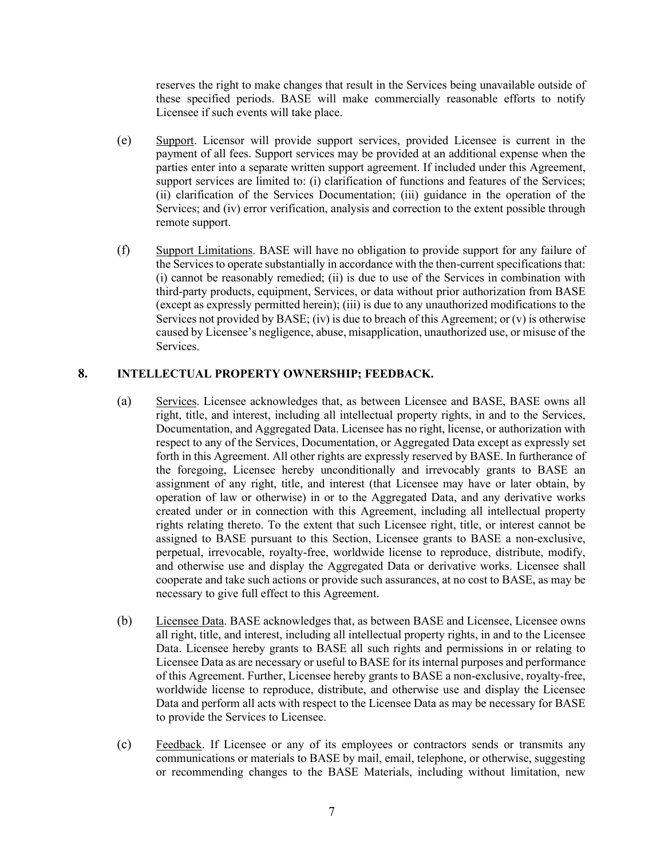reserves the right to make changes that result in the Services being unavailable outside of these specified periods. BASE will make commercially reasonable efforts to notify Licensee if such events will take place.

- (e) Support. Licensor will provide support services, provided Licensee is current in the payment of all fees. Support services may be provided at an additional expense when the parties enter into a separate written support agreement. If included under this Agreement, support services are limited to: (i) clarification of functions and features of the Services; (ii) clarification of the Services Documentation; (iii) guidance in the operation of the Services; and (iv) error verification, analysis and correction to the extent possible through remote support.
- (f) Support Limitations. BASE will have no obligation to provide support for any failure of the Services to operate substantially in accordance with the then-current specifications that: (i) cannot be reasonably remedied; (ii) is due to use of the Services in combination with third-party products, equipment, Services, or data without prior authorization from BASE (except as expressly permitted herein); (iii) is due to any unauthorized modifications to the Services not provided by BASE; (iv) is due to breach of this Agreement; or  $(v)$  is otherwise caused by Licensee's negligence, abuse, misapplication, unauthorized use, or misuse of the Services.

### **8. INTELLECTUAL PROPERTY OWNERSHIP; FEEDBACK.**

- (a) Services. Licensee acknowledges that, as between Licensee and BASE, BASE owns all right, title, and interest, including all intellectual property rights, in and to the Services, Documentation, and Aggregated Data. Licensee has no right, license, or authorization with respect to any of the Services, Documentation, or Aggregated Data except as expressly set forth in this Agreement. All other rights are expressly reserved by BASE. In furtherance of the foregoing, Licensee hereby unconditionally and irrevocably grants to BASE an assignment of any right, title, and interest (that Licensee may have or later obtain, by operation of law or otherwise) in or to the Aggregated Data, and any derivative works created under or in connection with this Agreement, including all intellectual property rights relating thereto. To the extent that such Licensee right, title, or interest cannot be assigned to BASE pursuant to this Section, Licensee grants to BASE a non-exclusive, perpetual, irrevocable, royalty-free, worldwide license to reproduce, distribute, modify, and otherwise use and display the Aggregated Data or derivative works. Licensee shall cooperate and take such actions or provide such assurances, at no cost to BASE, as may be necessary to give full effect to this Agreement.
- (b) Licensee Data. BASE acknowledges that, as between BASE and Licensee, Licensee owns all right, title, and interest, including all intellectual property rights, in and to the Licensee Data. Licensee hereby grants to BASE all such rights and permissions in or relating to Licensee Data as are necessary or useful to BASE for its internal purposes and performance of this Agreement. Further, Licensee hereby grants to BASE a non-exclusive, royalty-free, worldwide license to reproduce, distribute, and otherwise use and display the Licensee Data and perform all acts with respect to the Licensee Data as may be necessary for BASE to provide the Services to Licensee.
- (c) Feedback. If Licensee or any of its employees or contractors sends or transmits any communications or materials to BASE by mail, email, telephone, or otherwise, suggesting or recommending changes to the BASE Materials, including without limitation, new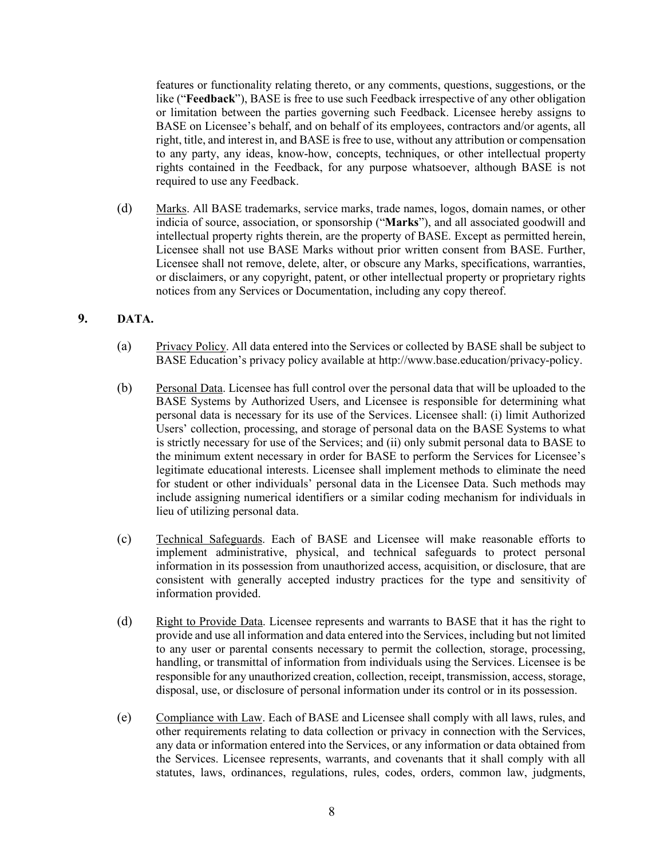features or functionality relating thereto, or any comments, questions, suggestions, or the like ("**Feedback**"), BASE is free to use such Feedback irrespective of any other obligation or limitation between the parties governing such Feedback. Licensee hereby assigns to BASE on Licensee's behalf, and on behalf of its employees, contractors and/or agents, all right, title, and interest in, and BASE is free to use, without any attribution or compensation to any party, any ideas, know-how, concepts, techniques, or other intellectual property rights contained in the Feedback, for any purpose whatsoever, although BASE is not required to use any Feedback.

(d) Marks. All BASE trademarks, service marks, trade names, logos, domain names, or other indicia of source, association, or sponsorship ("**Marks**"), and all associated goodwill and intellectual property rights therein, are the property of BASE. Except as permitted herein, Licensee shall not use BASE Marks without prior written consent from BASE. Further, Licensee shall not remove, delete, alter, or obscure any Marks, specifications, warranties, or disclaimers, or any copyright, patent, or other intellectual property or proprietary rights notices from any Services or Documentation, including any copy thereof.

# **9. DATA.**

- (a) Privacy Policy. All data entered into the Services or collected by BASE shall be subject to BASE Education's privacy policy available at http://www.base.education/privacy-policy.
- (b) Personal Data. Licensee has full control over the personal data that will be uploaded to the BASE Systems by Authorized Users, and Licensee is responsible for determining what personal data is necessary for its use of the Services. Licensee shall: (i) limit Authorized Users' collection, processing, and storage of personal data on the BASE Systems to what is strictly necessary for use of the Services; and (ii) only submit personal data to BASE to the minimum extent necessary in order for BASE to perform the Services for Licensee's legitimate educational interests. Licensee shall implement methods to eliminate the need for student or other individuals' personal data in the Licensee Data. Such methods may include assigning numerical identifiers or a similar coding mechanism for individuals in lieu of utilizing personal data.
- (c) Technical Safeguards. Each of BASE and Licensee will make reasonable efforts to implement administrative, physical, and technical safeguards to protect personal information in its possession from unauthorized access, acquisition, or disclosure, that are consistent with generally accepted industry practices for the type and sensitivity of information provided.
- (d) Right to Provide Data. Licensee represents and warrants to BASE that it has the right to provide and use all information and data entered into the Services, including but not limited to any user or parental consents necessary to permit the collection, storage, processing, handling, or transmittal of information from individuals using the Services. Licensee is be responsible for any unauthorized creation, collection, receipt, transmission, access, storage, disposal, use, or disclosure of personal information under its control or in its possession.
- (e) Compliance with Law. Each of BASE and Licensee shall comply with all laws, rules, and other requirements relating to data collection or privacy in connection with the Services, any data or information entered into the Services, or any information or data obtained from the Services. Licensee represents, warrants, and covenants that it shall comply with all statutes, laws, ordinances, regulations, rules, codes, orders, common law, judgments,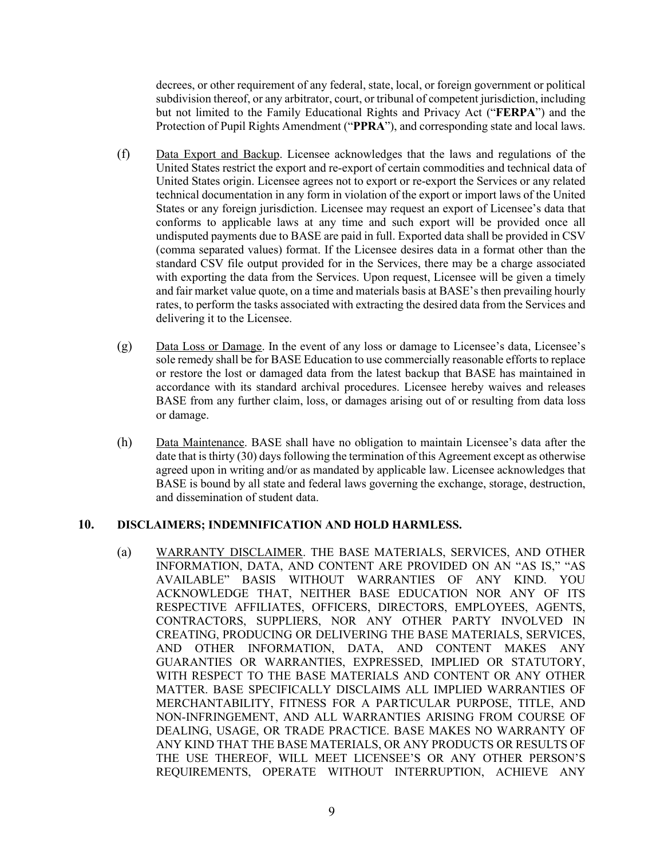decrees, or other requirement of any federal, state, local, or foreign government or political subdivision thereof, or any arbitrator, court, or tribunal of competent jurisdiction, including but not limited to the Family Educational Rights and Privacy Act ("**FERPA**") and the Protection of Pupil Rights Amendment ("**PPRA**"), and corresponding state and local laws.

- (f) Data Export and Backup. Licensee acknowledges that the laws and regulations of the United States restrict the export and re-export of certain commodities and technical data of United States origin. Licensee agrees not to export or re-export the Services or any related technical documentation in any form in violation of the export or import laws of the United States or any foreign jurisdiction. Licensee may request an export of Licensee's data that conforms to applicable laws at any time and such export will be provided once all undisputed payments due to BASE are paid in full. Exported data shall be provided in CSV (comma separated values) format. If the Licensee desires data in a format other than the standard CSV file output provided for in the Services, there may be a charge associated with exporting the data from the Services. Upon request, Licensee will be given a timely and fair market value quote, on a time and materials basis at BASE's then prevailing hourly rates, to perform the tasks associated with extracting the desired data from the Services and delivering it to the Licensee.
- (g) Data Loss or Damage. In the event of any loss or damage to Licensee's data, Licensee's sole remedy shall be for BASE Education to use commercially reasonable efforts to replace or restore the lost or damaged data from the latest backup that BASE has maintained in accordance with its standard archival procedures. Licensee hereby waives and releases BASE from any further claim, loss, or damages arising out of or resulting from data loss or damage.
- (h) Data Maintenance. BASE shall have no obligation to maintain Licensee's data after the date that is thirty (30) days following the termination of this Agreement except as otherwise agreed upon in writing and/or as mandated by applicable law. Licensee acknowledges that BASE is bound by all state and federal laws governing the exchange, storage, destruction, and dissemination of student data.

### **10. DISCLAIMERS; INDEMNIFICATION AND HOLD HARMLESS.**

(a) WARRANTY DISCLAIMER. THE BASE MATERIALS, SERVICES, AND OTHER INFORMATION, DATA, AND CONTENT ARE PROVIDED ON AN "AS IS," "AS AVAILABLE" BASIS WITHOUT WARRANTIES OF ANY KIND. YOU ACKNOWLEDGE THAT, NEITHER BASE EDUCATION NOR ANY OF ITS RESPECTIVE AFFILIATES, OFFICERS, DIRECTORS, EMPLOYEES, AGENTS, CONTRACTORS, SUPPLIERS, NOR ANY OTHER PARTY INVOLVED IN CREATING, PRODUCING OR DELIVERING THE BASE MATERIALS, SERVICES, AND OTHER INFORMATION, DATA, AND CONTENT MAKES ANY GUARANTIES OR WARRANTIES, EXPRESSED, IMPLIED OR STATUTORY, WITH RESPECT TO THE BASE MATERIALS AND CONTENT OR ANY OTHER MATTER. BASE SPECIFICALLY DISCLAIMS ALL IMPLIED WARRANTIES OF MERCHANTABILITY, FITNESS FOR A PARTICULAR PURPOSE, TITLE, AND NON-INFRINGEMENT, AND ALL WARRANTIES ARISING FROM COURSE OF DEALING, USAGE, OR TRADE PRACTICE. BASE MAKES NO WARRANTY OF ANY KIND THAT THE BASE MATERIALS, OR ANY PRODUCTS OR RESULTS OF THE USE THEREOF, WILL MEET LICENSEE'S OR ANY OTHER PERSON'S REQUIREMENTS, OPERATE WITHOUT INTERRUPTION, ACHIEVE ANY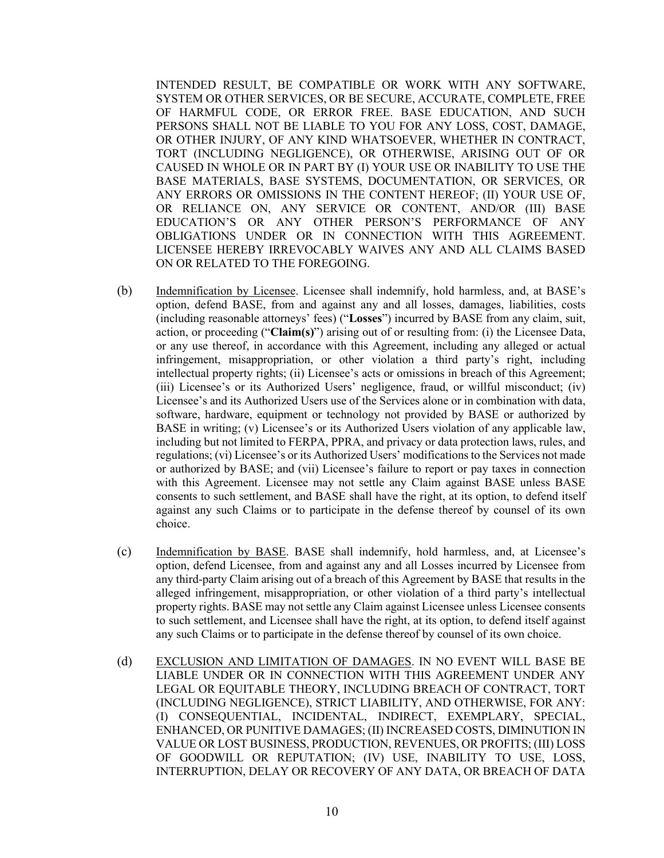INTENDED RESULT, BE COMPATIBLE OR WORK WITH ANY SOFTWARE, SYSTEM OR OTHER SERVICES, OR BE SECURE, ACCURATE, COMPLETE, FREE OF HARMFUL CODE, OR ERROR FREE. BASE EDUCATION, AND SUCH PERSONS SHALL NOT BE LIABLE TO YOU FOR ANY LOSS, COST, DAMAGE, OR OTHER INJURY, OF ANY KIND WHATSOEVER, WHETHER IN CONTRACT, TORT (INCLUDING NEGLIGENCE), OR OTHERWISE, ARISING OUT OF OR CAUSED IN WHOLE OR IN PART BY (I) YOUR USE OR INABILITY TO USE THE BASE MATERIALS, BASE SYSTEMS, DOCUMENTATION, OR SERVICES, OR ANY ERRORS OR OMISSIONS IN THE CONTENT HEREOF; (II) YOUR USE OF, OR RELIANCE ON, ANY SERVICE OR CONTENT, AND/OR (III) BASE EDUCATION'S OR ANY OTHER PERSON'S PERFORMANCE OF ANY OBLIGATIONS UNDER OR IN CONNECTION WITH THIS AGREEMENT. LICENSEE HEREBY IRREVOCABLY WAIVES ANY AND ALL CLAIMS BASED ON OR RELATED TO THE FOREGOING.

- (b) Indemnification by Licensee. Licensee shall indemnify, hold harmless, and, at BASE's option, defend BASE, from and against any and all losses, damages, liabilities, costs (including reasonable attorneys' fees) ("**Losses**") incurred by BASE from any claim, suit, action, or proceeding ("**Claim(s)**") arising out of or resulting from: (i) the Licensee Data, or any use thereof, in accordance with this Agreement, including any alleged or actual infringement, misappropriation, or other violation a third party's right, including intellectual property rights; (ii) Licensee's acts or omissions in breach of this Agreement; (iii) Licensee's or its Authorized Users' negligence, fraud, or willful misconduct; (iv) Licensee's and its Authorized Users use of the Services alone or in combination with data, software, hardware, equipment or technology not provided by BASE or authorized by BASE in writing; (v) Licensee's or its Authorized Users violation of any applicable law, including but not limited to FERPA, PPRA, and privacy or data protection laws, rules, and regulations; (vi) Licensee's or its Authorized Users' modifications to the Services not made or authorized by BASE; and (vii) Licensee's failure to report or pay taxes in connection with this Agreement. Licensee may not settle any Claim against BASE unless BASE consents to such settlement, and BASE shall have the right, at its option, to defend itself against any such Claims or to participate in the defense thereof by counsel of its own choice.
- (c) Indemnification by BASE. BASE shall indemnify, hold harmless, and, at Licensee's option, defend Licensee, from and against any and all Losses incurred by Licensee from any third-party Claim arising out of a breach of this Agreement by BASE that results in the alleged infringement, misappropriation, or other violation of a third party's intellectual property rights. BASE may not settle any Claim against Licensee unless Licensee consents to such settlement, and Licensee shall have the right, at its option, to defend itself against any such Claims or to participate in the defense thereof by counsel of its own choice.
- (d) EXCLUSION AND LIMITATION OF DAMAGES. IN NO EVENT WILL BASE BE LIABLE UNDER OR IN CONNECTION WITH THIS AGREEMENT UNDER ANY LEGAL OR EQUITABLE THEORY, INCLUDING BREACH OF CONTRACT, TORT (INCLUDING NEGLIGENCE), STRICT LIABILITY, AND OTHERWISE, FOR ANY: (I) CONSEQUENTIAL, INCIDENTAL, INDIRECT, EXEMPLARY, SPECIAL, ENHANCED, OR PUNITIVE DAMAGES; (II) INCREASED COSTS, DIMINUTION IN VALUE OR LOST BUSINESS, PRODUCTION, REVENUES, OR PROFITS; (III) LOSS OF GOODWILL OR REPUTATION; (IV) USE, INABILITY TO USE, LOSS, INTERRUPTION, DELAY OR RECOVERY OF ANY DATA, OR BREACH OF DATA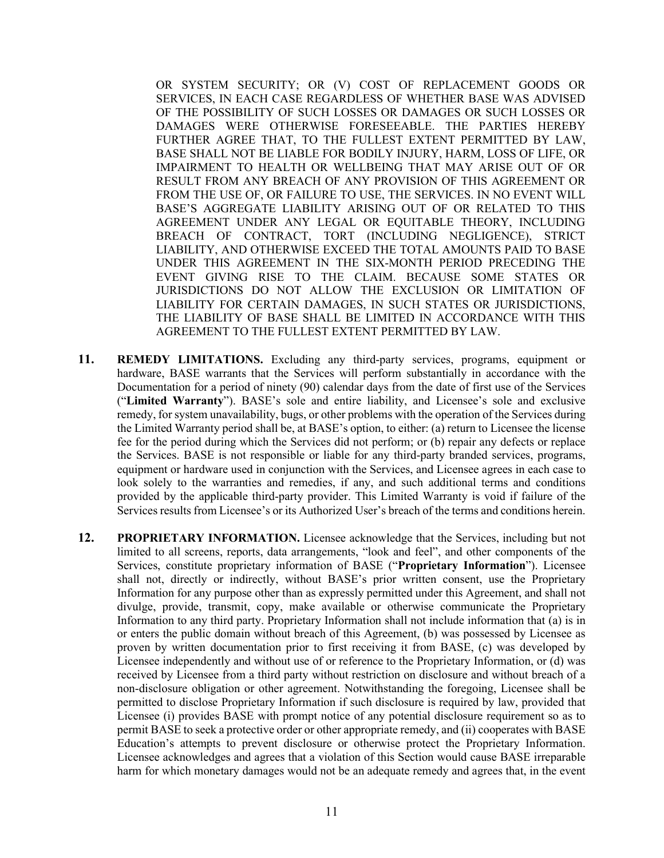OR SYSTEM SECURITY; OR (V) COST OF REPLACEMENT GOODS OR SERVICES, IN EACH CASE REGARDLESS OF WHETHER BASE WAS ADVISED OF THE POSSIBILITY OF SUCH LOSSES OR DAMAGES OR SUCH LOSSES OR DAMAGES WERE OTHERWISE FORESEEABLE. THE PARTIES HEREBY FURTHER AGREE THAT, TO THE FULLEST EXTENT PERMITTED BY LAW, BASE SHALL NOT BE LIABLE FOR BODILY INJURY, HARM, LOSS OF LIFE, OR IMPAIRMENT TO HEALTH OR WELLBEING THAT MAY ARISE OUT OF OR RESULT FROM ANY BREACH OF ANY PROVISION OF THIS AGREEMENT OR FROM THE USE OF, OR FAILURE TO USE, THE SERVICES. IN NO EVENT WILL BASE'S AGGREGATE LIABILITY ARISING OUT OF OR RELATED TO THIS AGREEMENT UNDER ANY LEGAL OR EQUITABLE THEORY, INCLUDING BREACH OF CONTRACT, TORT (INCLUDING NEGLIGENCE), STRICT LIABILITY, AND OTHERWISE EXCEED THE TOTAL AMOUNTS PAID TO BASE UNDER THIS AGREEMENT IN THE SIX-MONTH PERIOD PRECEDING THE EVENT GIVING RISE TO THE CLAIM. BECAUSE SOME STATES OR JURISDICTIONS DO NOT ALLOW THE EXCLUSION OR LIMITATION OF LIABILITY FOR CERTAIN DAMAGES, IN SUCH STATES OR JURISDICTIONS, THE LIABILITY OF BASE SHALL BE LIMITED IN ACCORDANCE WITH THIS AGREEMENT TO THE FULLEST EXTENT PERMITTED BY LAW.

- **11. REMEDY LIMITATIONS.** Excluding any third-party services, programs, equipment or hardware, BASE warrants that the Services will perform substantially in accordance with the Documentation for a period of ninety (90) calendar days from the date of first use of the Services ("**Limited Warranty**"). BASE's sole and entire liability, and Licensee's sole and exclusive remedy, for system unavailability, bugs, or other problems with the operation of the Services during the Limited Warranty period shall be, at BASE's option, to either: (a) return to Licensee the license fee for the period during which the Services did not perform; or (b) repair any defects or replace the Services. BASE is not responsible or liable for any third-party branded services, programs, equipment or hardware used in conjunction with the Services, and Licensee agrees in each case to look solely to the warranties and remedies, if any, and such additional terms and conditions provided by the applicable third-party provider. This Limited Warranty is void if failure of the Services results from Licensee's or its Authorized User's breach of the terms and conditions herein.
- **12. PROPRIETARY INFORMATION.** Licensee acknowledge that the Services, including but not limited to all screens, reports, data arrangements, "look and feel", and other components of the Services, constitute proprietary information of BASE ("**Proprietary Information**"). Licensee shall not, directly or indirectly, without BASE's prior written consent, use the Proprietary Information for any purpose other than as expressly permitted under this Agreement, and shall not divulge, provide, transmit, copy, make available or otherwise communicate the Proprietary Information to any third party. Proprietary Information shall not include information that (a) is in or enters the public domain without breach of this Agreement, (b) was possessed by Licensee as proven by written documentation prior to first receiving it from BASE, (c) was developed by Licensee independently and without use of or reference to the Proprietary Information, or (d) was received by Licensee from a third party without restriction on disclosure and without breach of a non-disclosure obligation or other agreement. Notwithstanding the foregoing, Licensee shall be permitted to disclose Proprietary Information if such disclosure is required by law, provided that Licensee (i) provides BASE with prompt notice of any potential disclosure requirement so as to permit BASE to seek a protective order or other appropriate remedy, and (ii) cooperates with BASE Education's attempts to prevent disclosure or otherwise protect the Proprietary Information. Licensee acknowledges and agrees that a violation of this Section would cause BASE irreparable harm for which monetary damages would not be an adequate remedy and agrees that, in the event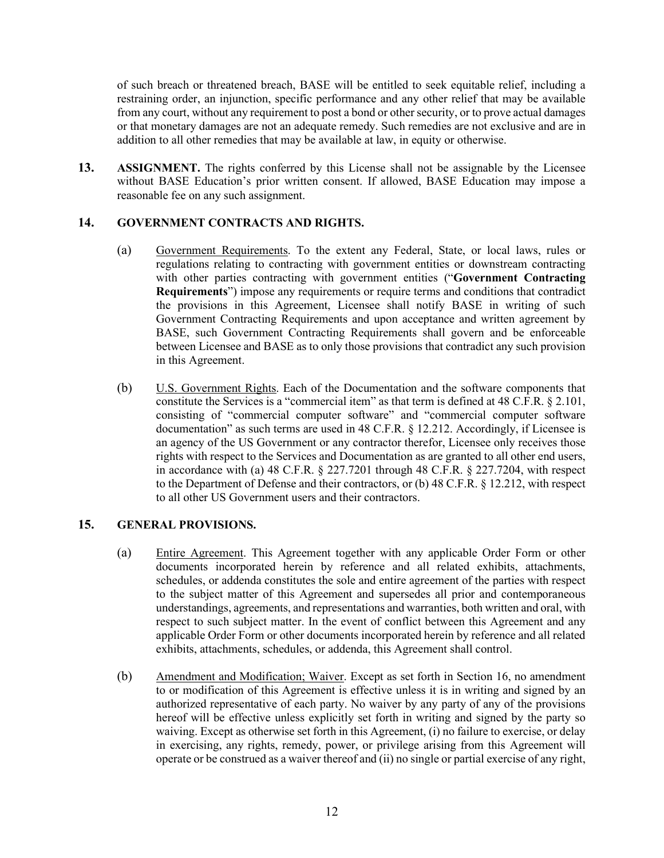of such breach or threatened breach, BASE will be entitled to seek equitable relief, including a restraining order, an injunction, specific performance and any other relief that may be available from any court, without any requirement to post a bond or other security, or to prove actual damages or that monetary damages are not an adequate remedy. Such remedies are not exclusive and are in addition to all other remedies that may be available at law, in equity or otherwise.

**13. ASSIGNMENT.** The rights conferred by this License shall not be assignable by the Licensee without BASE Education's prior written consent. If allowed, BASE Education may impose a reasonable fee on any such assignment.

# **14. GOVERNMENT CONTRACTS AND RIGHTS.**

- (a) Government Requirements. To the extent any Federal, State, or local laws, rules or regulations relating to contracting with government entities or downstream contracting with other parties contracting with government entities ("**Government Contracting Requirements**") impose any requirements or require terms and conditions that contradict the provisions in this Agreement, Licensee shall notify BASE in writing of such Government Contracting Requirements and upon acceptance and written agreement by BASE, such Government Contracting Requirements shall govern and be enforceable between Licensee and BASE as to only those provisions that contradict any such provision in this Agreement.
- (b) U.S. Government Rights. Each of the Documentation and the software components that constitute the Services is a "commercial item" as that term is defined at 48 C.F.R. § 2.101, consisting of "commercial computer software" and "commercial computer software documentation" as such terms are used in 48 C.F.R. § 12.212. Accordingly, if Licensee is an agency of the US Government or any contractor therefor, Licensee only receives those rights with respect to the Services and Documentation as are granted to all other end users, in accordance with (a) 48 C.F.R. § 227.7201 through 48 C.F.R. § 227.7204, with respect to the Department of Defense and their contractors, or (b) 48 C.F.R. § 12.212, with respect to all other US Government users and their contractors.

### **15. GENERAL PROVISIONS.**

- (a) Entire Agreement. This Agreement together with any applicable Order Form or other documents incorporated herein by reference and all related exhibits, attachments, schedules, or addenda constitutes the sole and entire agreement of the parties with respect to the subject matter of this Agreement and supersedes all prior and contemporaneous understandings, agreements, and representations and warranties, both written and oral, with respect to such subject matter. In the event of conflict between this Agreement and any applicable Order Form or other documents incorporated herein by reference and all related exhibits, attachments, schedules, or addenda, this Agreement shall control.
- (b) Amendment and Modification; Waiver. Except as set forth in Section [16,](#page-13-0) no amendment to or modification of this Agreement is effective unless it is in writing and signed by an authorized representative of each party. No waiver by any party of any of the provisions hereof will be effective unless explicitly set forth in writing and signed by the party so waiving. Except as otherwise set forth in this Agreement, (i) no failure to exercise, or delay in exercising, any rights, remedy, power, or privilege arising from this Agreement will operate or be construed as a waiver thereof and (ii) no single or partial exercise of any right,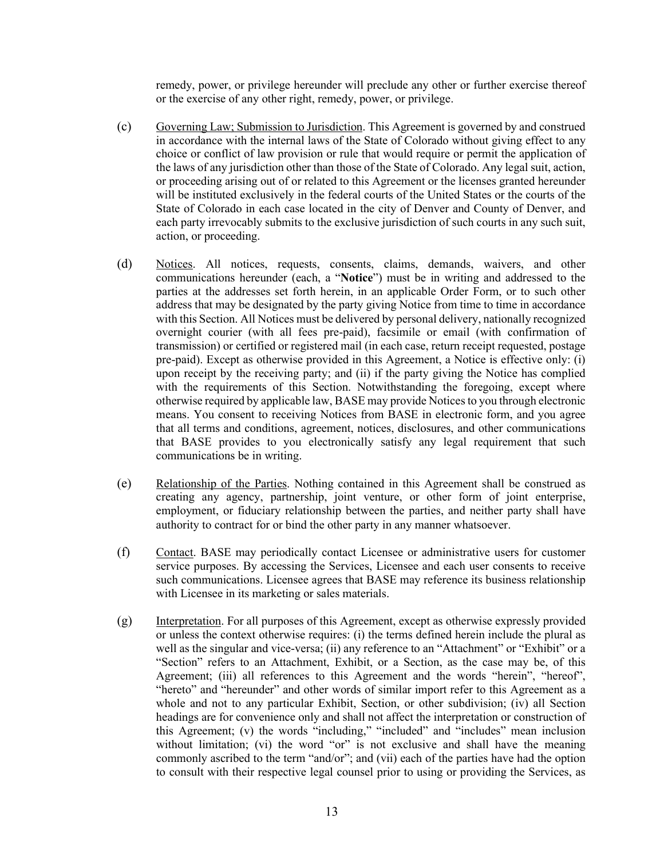remedy, power, or privilege hereunder will preclude any other or further exercise thereof or the exercise of any other right, remedy, power, or privilege.

- (c) Governing Law; Submission to Jurisdiction. This Agreement is governed by and construed in accordance with the internal laws of the State of Colorado without giving effect to any choice or conflict of law provision or rule that would require or permit the application of the laws of any jurisdiction other than those of the State of Colorado. Any legal suit, action, or proceeding arising out of or related to this Agreement or the licenses granted hereunder will be instituted exclusively in the federal courts of the United States or the courts of the State of Colorado in each case located in the city of Denver and County of Denver, and each party irrevocably submits to the exclusive jurisdiction of such courts in any such suit, action, or proceeding.
- (d) Notices. All notices, requests, consents, claims, demands, waivers, and other communications hereunder (each, a "**Notice**") must be in writing and addressed to the parties at the addresses set forth herein, in an applicable Order Form, or to such other address that may be designated by the party giving Notice from time to time in accordance with this Section. All Notices must be delivered by personal delivery, nationally recognized overnight courier (with all fees pre-paid), facsimile or email (with confirmation of transmission) or certified or registered mail (in each case, return receipt requested, postage pre-paid). Except as otherwise provided in this Agreement, a Notice is effective only: (i) upon receipt by the receiving party; and (ii) if the party giving the Notice has complied with the requirements of this Section. Notwithstanding the foregoing, except where otherwise required by applicable law, BASE may provide Notices to you through electronic means. You consent to receiving Notices from BASE in electronic form, and you agree that all terms and conditions, agreement, notices, disclosures, and other communications that BASE provides to you electronically satisfy any legal requirement that such communications be in writing.
- (e) Relationship of the Parties. Nothing contained in this Agreement shall be construed as creating any agency, partnership, joint venture, or other form of joint enterprise, employment, or fiduciary relationship between the parties, and neither party shall have authority to contract for or bind the other party in any manner whatsoever.
- (f) Contact. BASE may periodically contact Licensee or administrative users for customer service purposes. By accessing the Services, Licensee and each user consents to receive such communications. Licensee agrees that BASE may reference its business relationship with Licensee in its marketing or sales materials.
- (g) Interpretation. For all purposes of this Agreement, except as otherwise expressly provided or unless the context otherwise requires: (i) the terms defined herein include the plural as well as the singular and vice-versa; (ii) any reference to an "Attachment" or "Exhibit" or a "Section" refers to an Attachment, Exhibit, or a Section, as the case may be, of this Agreement; (iii) all references to this Agreement and the words "herein", "hereof", "hereto" and "hereunder" and other words of similar import refer to this Agreement as a whole and not to any particular Exhibit, Section, or other subdivision; (iv) all Section headings are for convenience only and shall not affect the interpretation or construction of this Agreement; (v) the words "including," "included" and "includes" mean inclusion without limitation; (vi) the word "or" is not exclusive and shall have the meaning commonly ascribed to the term "and/or"; and (vii) each of the parties have had the option to consult with their respective legal counsel prior to using or providing the Services, as